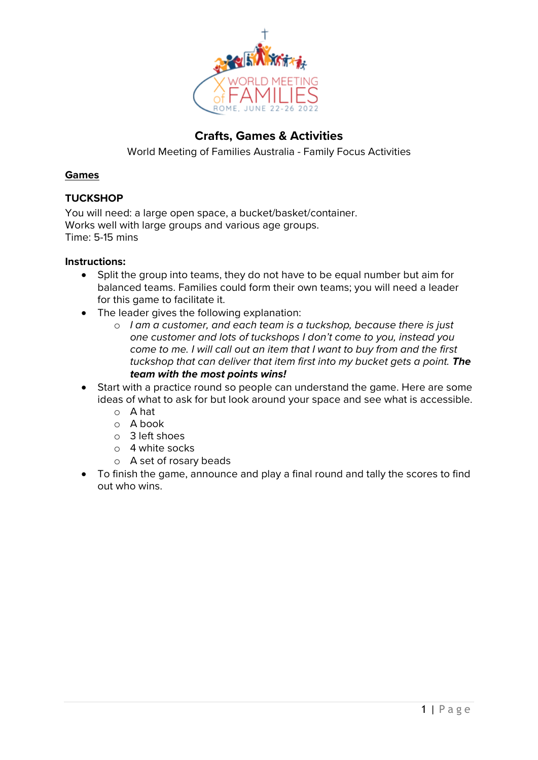

## **Crafts, Games & Activities**

World Meeting of Families Australia - Family Focus Activities

#### **Games**

### **TUCKSHOP**

You will need: a large open space, a bucket/basket/container. Works well with large groups and various age groups. Time: 5-15 mins

- Split the group into teams, they do not have to be equal number but aim for balanced teams. Families could form their own teams; you will need a leader for this game to facilitate it.
- The leader gives the following explanation:
	- o *I am a customer, and each team is a tuckshop, because there is just one customer and lots of tuckshops I don't come to you, instead you come to me. I will call out an item that I want to buy from and the first tuckshop that can deliver that item first into my bucket gets a point. The team with the most points wins!*
- Start with a practice round so people can understand the game. Here are some ideas of what to ask for but look around your space and see what is accessible.
	- o A hat
	- o A book
	- o 3 left shoes
	- o 4 white socks
	- o A set of rosary beads
- To finish the game, announce and play a final round and tally the scores to find out who wins.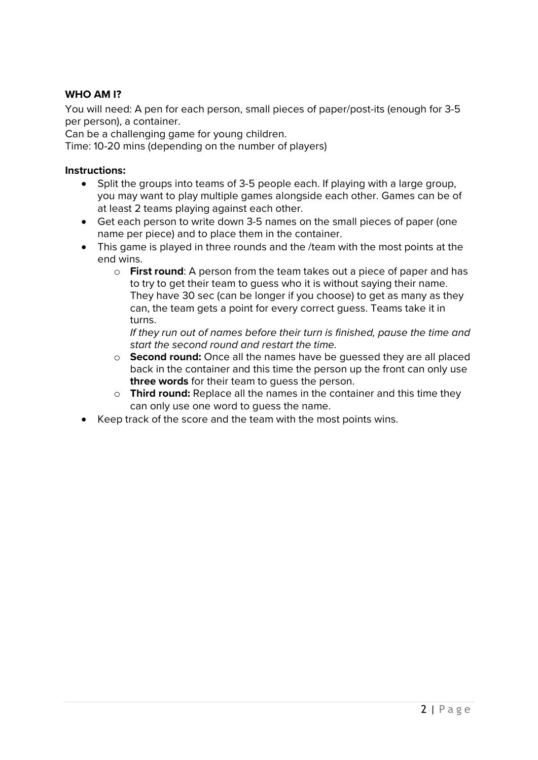## **WHO AM I?**

You will need: A pen for each person, small pieces of paper/post-its (enough for 3-5 per person), a container.

Can be a challenging game for young children.

Time: 10-20 mins (depending on the number of players)

#### **Instructions:**

- Split the groups into teams of 3-5 people each. If playing with a large group, you may want to play multiple games alongside each other. Games can be of at least 2 teams playing against each other.
- Get each person to write down 3-5 names on the small pieces of paper (one name per piece) and to place them in the container.
- This game is played in three rounds and the /team with the most points at the end wins.
	- o **First round**: A person from the team takes out a piece of paper and has to try to get their team to guess who it is without saying their name. They have 30 sec (can be longer if you choose) to get as many as they can, the team gets a point for every correct guess. Teams take it in turns.

*If they run out of names before their turn is finished, pause the time and start the second round and restart the time.*

- o **Second round:** Once all the names have be guessed they are all placed back in the container and this time the person up the front can only use **three words** for their team to guess the person.
- o **Third round:** Replace all the names in the container and this time they can only use one word to guess the name.
- Keep track of the score and the team with the most points wins.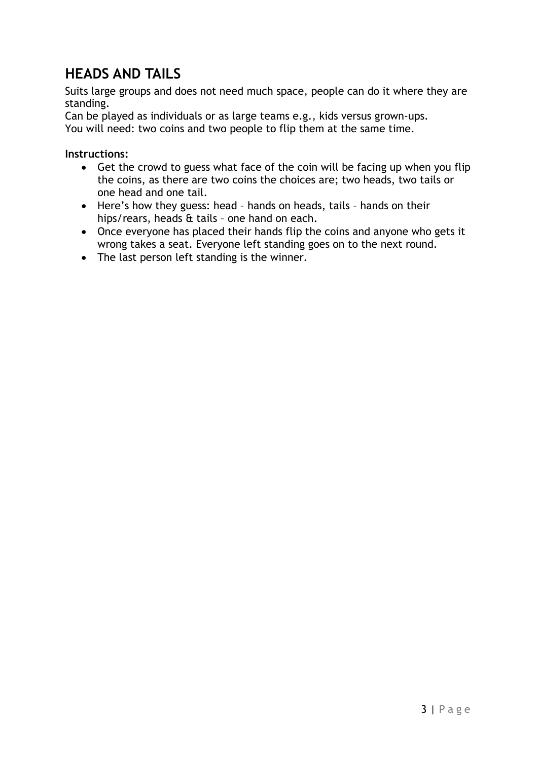# **HEADS AND TAILS**

Suits large groups and does not need much space, people can do it where they are standing.

Can be played as individuals or as large teams e.g., kids versus grown-ups. You will need: two coins and two people to flip them at the same time.

- Get the crowd to guess what face of the coin will be facing up when you flip the coins, as there are two coins the choices are; two heads, two tails or one head and one tail.
- Here's how they guess: head hands on heads, tails hands on their hips/rears, heads & tails – one hand on each.
- Once everyone has placed their hands flip the coins and anyone who gets it wrong takes a seat. Everyone left standing goes on to the next round.
- The last person left standing is the winner.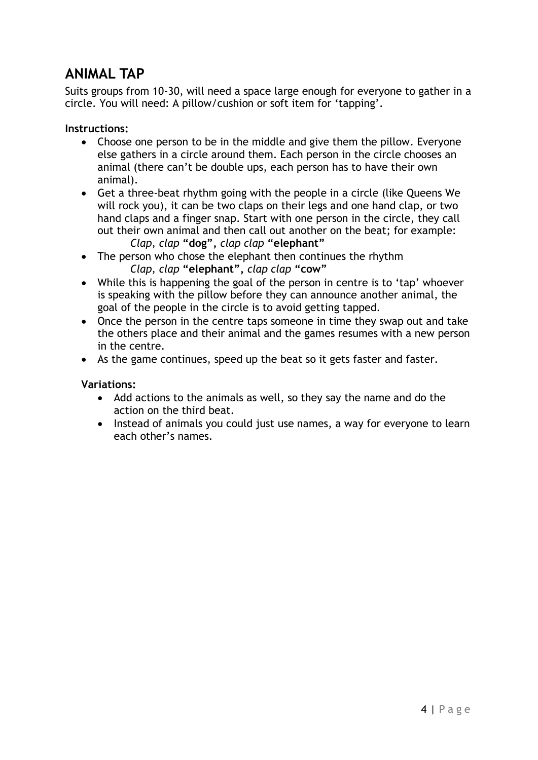# **ANIMAL TAP**

Suits groups from 10-30, will need a space large enough for everyone to gather in a circle. You will need: A pillow/cushion or soft item for 'tapping'.

## **Instructions:**

- Choose one person to be in the middle and give them the pillow. Everyone else gathers in a circle around them. Each person in the circle chooses an animal (there can't be double ups, each person has to have their own animal).
- Get a three-beat rhythm going with the people in a circle (like Queens We will rock you), it can be two claps on their legs and one hand clap, or two hand claps and a finger snap. Start with one person in the circle, they call out their own animal and then call out another on the beat; for example: *Clap, clap* **"dog",** *clap clap* **"elephant"**
- The person who chose the elephant then continues the rhythm *Clap, clap* **"elephant",** *clap clap* **"cow"**
- While this is happening the goal of the person in centre is to 'tap' whoever is speaking with the pillow before they can announce another animal, the goal of the people in the circle is to avoid getting tapped.
- Once the person in the centre taps someone in time they swap out and take the others place and their animal and the games resumes with a new person in the centre.
- As the game continues, speed up the beat so it gets faster and faster.

### **Variations:**

- Add actions to the animals as well, so they say the name and do the action on the third beat.
- Instead of animals you could just use names, a way for everyone to learn each other's names.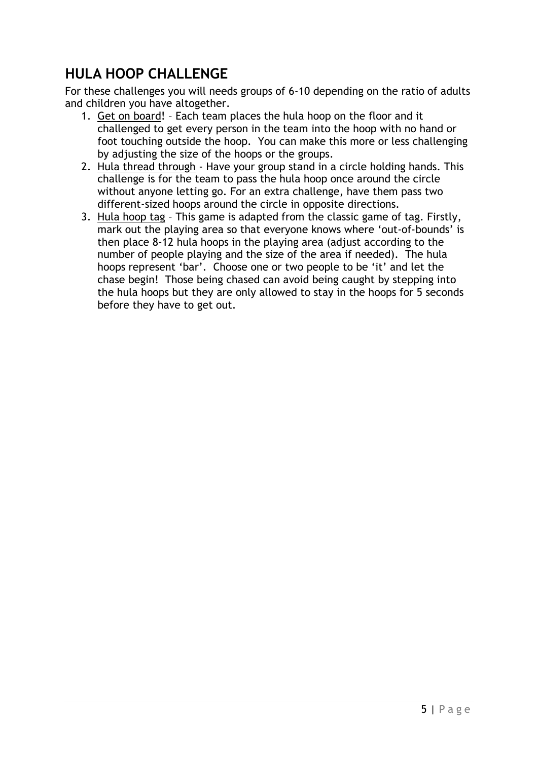# **HULA HOOP CHALLENGE**

For these challenges you will needs groups of 6-10 depending on the ratio of adults and children you have altogether.

- 1. Get on board! Each team places the hula hoop on the floor and it challenged to get every person in the team into the hoop with no hand or foot touching outside the hoop. You can make this more or less challenging by adjusting the size of the hoops or the groups.
- 2. Hula thread through Have your group stand in a circle holding hands. This challenge is for the team to pass the hula hoop once around the circle without anyone letting go. For an extra challenge, have them pass two different-sized hoops around the circle in opposite directions.
- 3. Hula hoop tag This game is adapted from the classic game of tag. Firstly, mark out the playing area so that everyone knows where 'out-of-bounds' is then place 8-12 hula hoops in the playing area (adjust according to the number of people playing and the size of the area if needed). The hula hoops represent 'bar'. Choose one or two people to be 'it' and let the chase begin! Those being chased can avoid being caught by stepping into the hula hoops but they are only allowed to stay in the hoops for 5 seconds before they have to get out.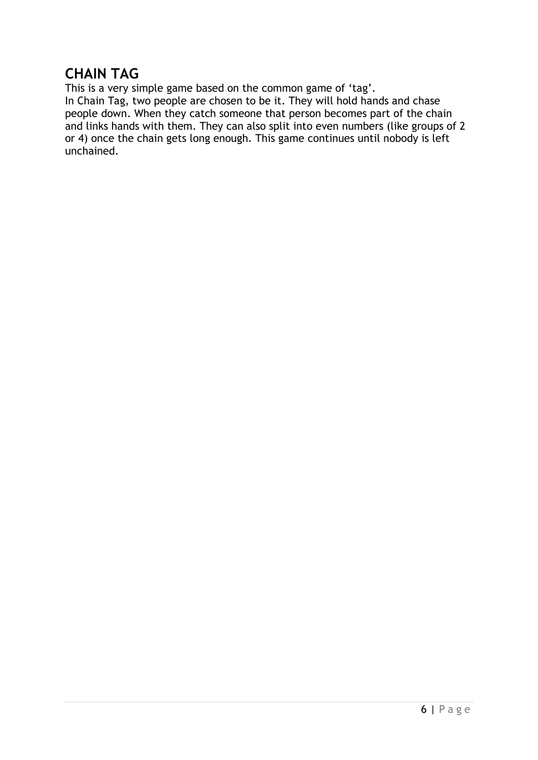# **CHAIN TAG**

This is a very simple game based on the common game of 'tag'. In Chain Tag, two people are chosen to be it. They will hold hands and chase people down. When they catch someone that person becomes part of the chain and links hands with them. They can also split into even numbers (like groups of 2 or 4) once the chain gets long enough. This game continues until nobody is left unchained.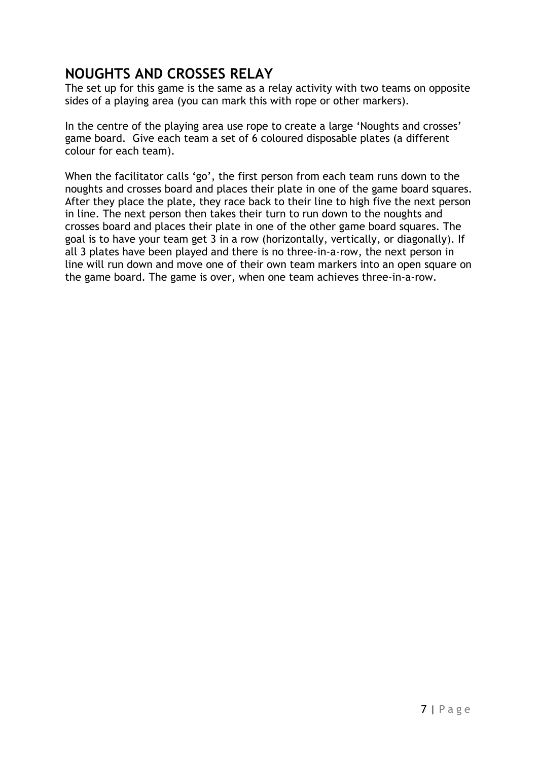## **NOUGHTS AND CROSSES RELAY**

The set up for this game is the same as a relay activity with two teams on opposite sides of a playing area (you can mark this with rope or other markers).

In the centre of the playing area use rope to create a large 'Noughts and crosses' game board. Give each team a set of 6 coloured disposable plates (a different colour for each team).

When the facilitator calls 'go', the first person from each team runs down to the noughts and crosses board and places their plate in one of the game board squares. After they place the plate, they race back to their line to high five the next person in line. The next person then takes their turn to run down to the noughts and crosses board and places their plate in one of the other game board squares. The goal is to have your team get 3 in a row (horizontally, vertically, or diagonally). If all 3 plates have been played and there is no three-in-a-row, the next person in line will run down and move one of their own team markers into an open square on the game board. The game is over, when one team achieves three-in-a-row.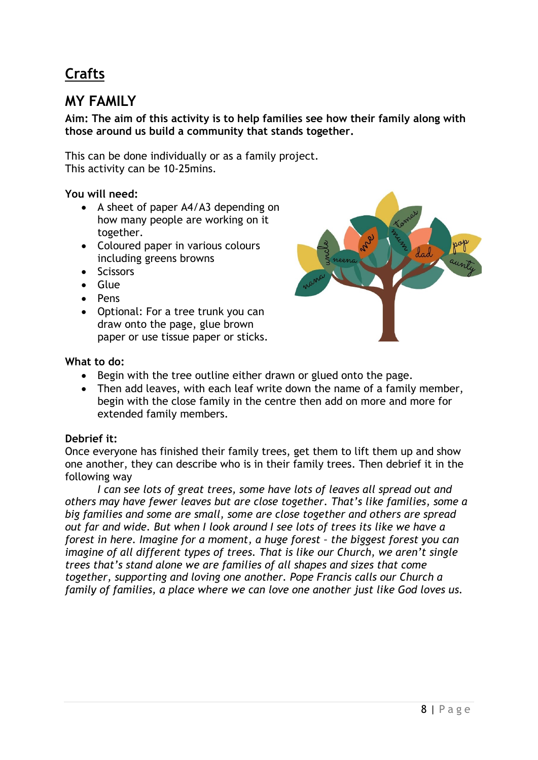# **Crafts**

# **MY FAMILY**

## **Aim: The aim of this activity is to help families see how their family along with those around us build a community that stands together.**

This can be done individually or as a family project. This activity can be 10-25mins.

## **You will need:**

- A sheet of paper A4/A3 depending on how many people are working on it together.
- Coloured paper in various colours including greens browns
- Scissors
- Glue
- Pens
- Optional: For a tree trunk you can draw onto the page, glue brown paper or use tissue paper or sticks.



## **What to do:**

- Begin with the tree outline either drawn or glued onto the page.
- Then add leaves, with each leaf write down the name of a family member, begin with the close family in the centre then add on more and more for extended family members.

## **Debrief it:**

Once everyone has finished their family trees, get them to lift them up and show one another, they can describe who is in their family trees. Then debrief it in the following way

*I can see lots of great trees, some have lots of leaves all spread out and others may have fewer leaves but are close together. That's like families, some a big families and some are small, some are close together and others are spread out far and wide. But when I look around I see lots of trees its like we have a forest in here. Imagine for a moment, a huge forest – the biggest forest you can imagine of all different types of trees. That is like our Church, we aren't single trees that's stand alone we are families of all shapes and sizes that come together, supporting and loving one another. Pope Francis calls our Church a family of families, a place where we can love one another just like God loves us.*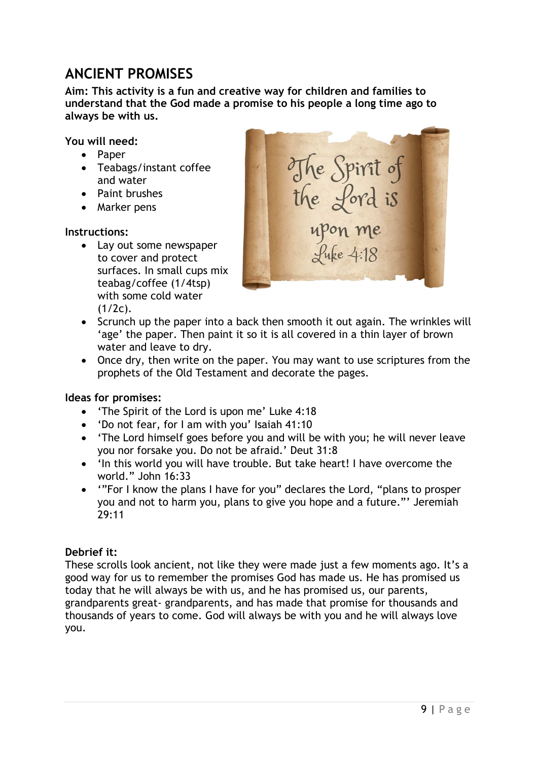# **ANCIENT PROMISES**

**Aim: This activity is a fun and creative way for children and families to understand that the God made a promise to his people a long time ago to always be with us.** 

**You will need:**

- Paper
- Teabags/instant coffee and water
- Paint brushes
- Marker pens

## **Instructions:**

• Lay out some newspaper to cover and protect surfaces. In small cups mix teabag/coffee (1/4tsp) with some cold water  $(1/2c)$ .



- Scrunch up the paper into a back then smooth it out again. The wrinkles will 'age' the paper. Then paint it so it is all covered in a thin layer of brown water and leave to dry.
- Once dry, then write on the paper. You may want to use scriptures from the prophets of the Old Testament and decorate the pages.

### **Ideas for promises:**

- 'The Spirit of the Lord is upon me' Luke 4:18
- 'Do not fear, for I am with you' Isaiah 41:10
- 'The Lord himself goes before you and will be with you; he will never leave you nor forsake you. Do not be afraid.' Deut 31:8
- 'In this world you will have trouble. But take heart! I have overcome the world." John 16:33
- '"For I know the plans I have for you" declares the Lord, "plans to prosper you and not to harm you, plans to give you hope and a future."' Jeremiah 29:11

## **Debrief it:**

These scrolls look ancient, not like they were made just a few moments ago. It's a good way for us to remember the promises God has made us. He has promised us today that he will always be with us, and he has promised us, our parents, grandparents great- grandparents, and has made that promise for thousands and thousands of years to come. God will always be with you and he will always love you.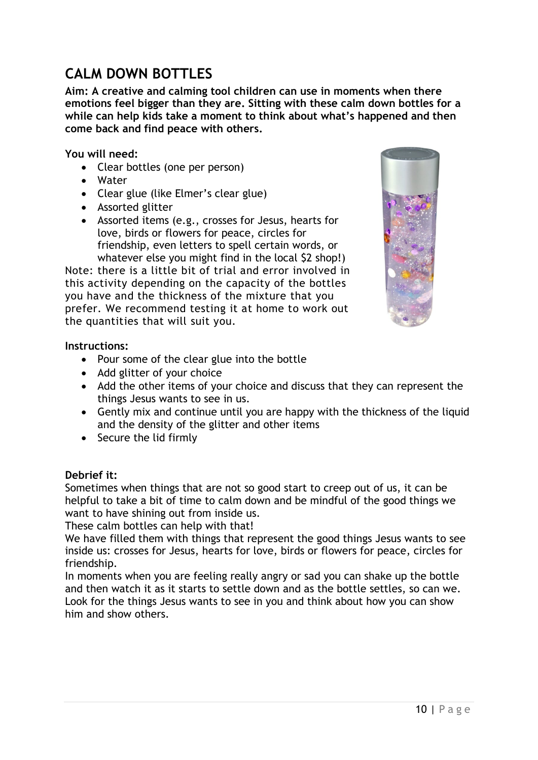# **CALM DOWN BOTTLES**

**Aim: A creative and calming tool children can use in moments when there emotions feel bigger than they are. Sitting with these calm down bottles for a while can help kids take a moment to think about what's happened and then come back and find peace with others.**

**You will need:**

- Clear bottles (one per person)
- Water
- Clear glue (like Elmer's clear glue)
- Assorted glitter
- Assorted items (e.g., crosses for Jesus, hearts for love, birds or flowers for peace, circles for friendship, even letters to spell certain words, or whatever else you might find in the local \$2 shop!)

Note: there is a little bit of trial and error involved in this activity depending on the capacity of the bottles you have and the thickness of the mixture that you prefer. We recommend testing it at home to work out the quantities that will suit you.



## **Instructions:**

- Pour some of the clear glue into the bottle
- Add glitter of your choice
- Add the other items of your choice and discuss that they can represent the things Jesus wants to see in us.
- Gently mix and continue until you are happy with the thickness of the liquid and the density of the glitter and other items
- Secure the lid firmly

### **Debrief it:**

Sometimes when things that are not so good start to creep out of us, it can be helpful to take a bit of time to calm down and be mindful of the good things we want to have shining out from inside us.

These calm bottles can help with that!

We have filled them with things that represent the good things Jesus wants to see inside us: crosses for Jesus, hearts for love, birds or flowers for peace, circles for friendship.

In moments when you are feeling really angry or sad you can shake up the bottle and then watch it as it starts to settle down and as the bottle settles, so can we. Look for the things Jesus wants to see in you and think about how you can show him and show others.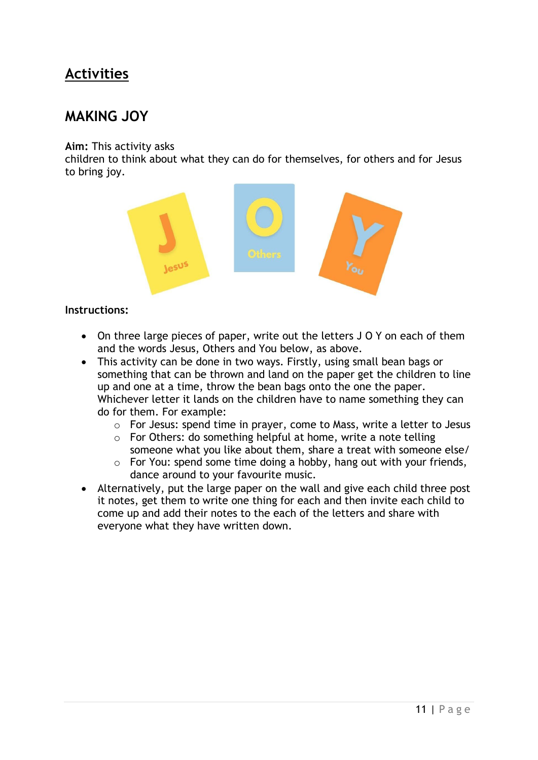# **Activities**

## **MAKING JOY**

### **Aim:** This activity asks

children to think about what they can do for themselves, for others and for Jesus to bring joy.



- On three large pieces of paper, write out the letters J O Y on each of them and the words Jesus, Others and You below, as above.
- This activity can be done in two ways. Firstly, using small bean bags or something that can be thrown and land on the paper get the children to line up and one at a time, throw the bean bags onto the one the paper. Whichever letter it lands on the children have to name something they can do for them. For example:
	- o For Jesus: spend time in prayer, come to Mass, write a letter to Jesus
	- $\circ$  For Others: do something helpful at home, write a note telling someone what you like about them, share a treat with someone else/
	- o For You: spend some time doing a hobby, hang out with your friends, dance around to your favourite music.
- Alternatively, put the large paper on the wall and give each child three post it notes, get them to write one thing for each and then invite each child to come up and add their notes to the each of the letters and share with everyone what they have written down.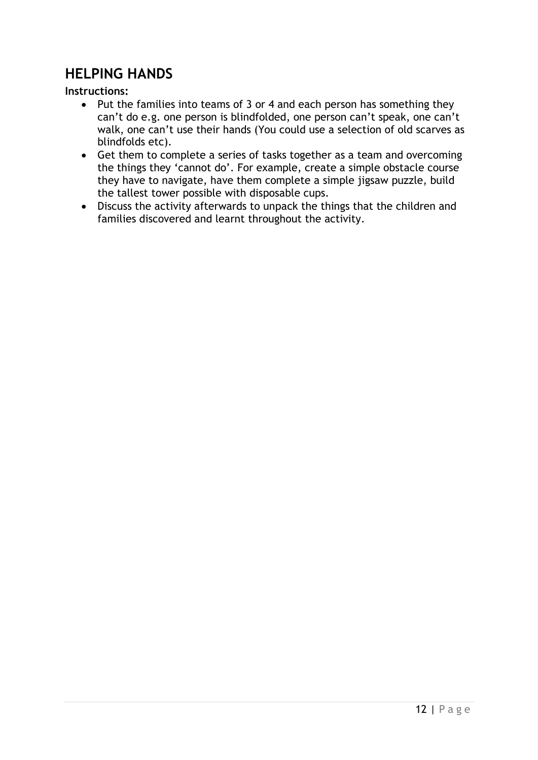## **HELPING HANDS**

- Put the families into teams of 3 or 4 and each person has something they can't do e.g. one person is blindfolded, one person can't speak, one can't walk, one can't use their hands (You could use a selection of old scarves as blindfolds etc).
- Get them to complete a series of tasks together as a team and overcoming the things they 'cannot do'. For example, create a simple obstacle course they have to navigate, have them complete a simple jigsaw puzzle, build the tallest tower possible with disposable cups.
- Discuss the activity afterwards to unpack the things that the children and families discovered and learnt throughout the activity.